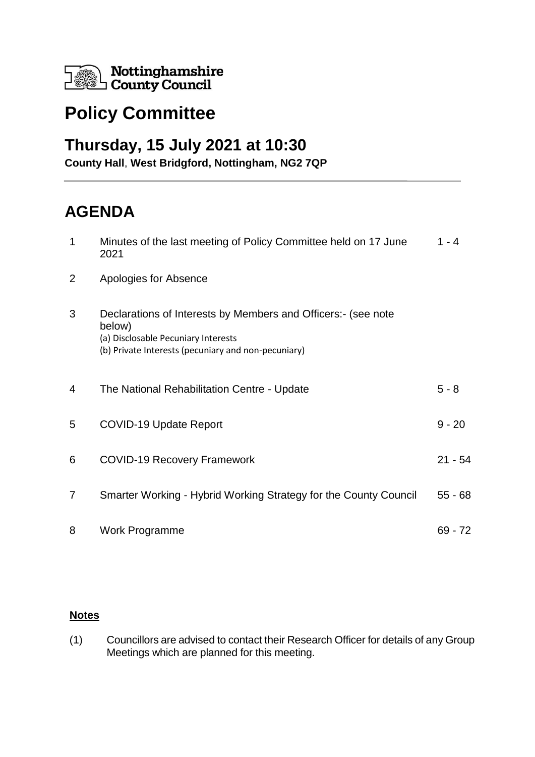

## **Policy Committee**

## **Thursday, 15 July 2021 at 10:30**

**County Hall**, **West Bridgford, Nottingham, NG2 7QP**

## **AGENDA**

| $\mathbf 1$    | Minutes of the last meeting of Policy Committee held on 17 June<br>2021                                                                                               | $1 - 4$   |
|----------------|-----------------------------------------------------------------------------------------------------------------------------------------------------------------------|-----------|
| $\overline{2}$ | Apologies for Absence                                                                                                                                                 |           |
| 3              | Declarations of Interests by Members and Officers:- (see note<br>below)<br>(a) Disclosable Pecuniary Interests<br>(b) Private Interests (pecuniary and non-pecuniary) |           |
| 4              | The National Rehabilitation Centre - Update                                                                                                                           | $5 - 8$   |
| 5              | <b>COVID-19 Update Report</b>                                                                                                                                         | $9 - 20$  |
| 6              | <b>COVID-19 Recovery Framework</b>                                                                                                                                    | $21 - 54$ |
| 7              | Smarter Working - Hybrid Working Strategy for the County Council                                                                                                      | $55 - 68$ |
| 8              | <b>Work Programme</b>                                                                                                                                                 | $69 - 72$ |

## **Notes**

(1) Councillors are advised to contact their Research Officer for details of any Group Meetings which are planned for this meeting.